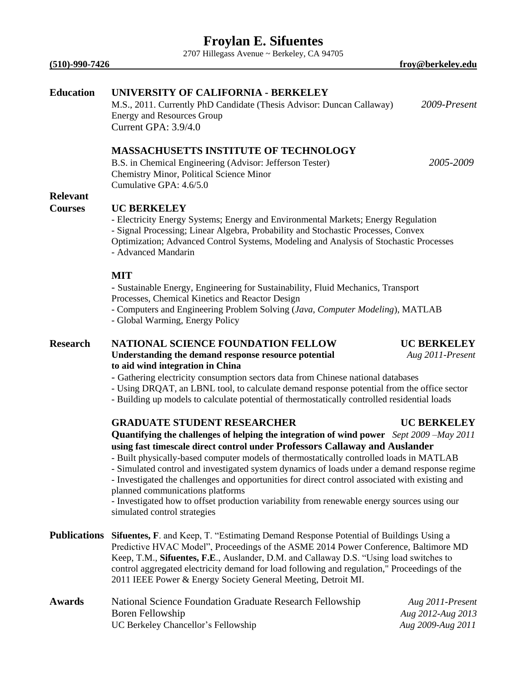2707 Hillegass Avenue ~ Berkeley, CA 94705

**(510)-990-7426 froy@berkeley.edu**

## **Education UNIVERSITY OF CALIFORNIA - BERKELEY**

M.S., 2011. Currently PhD Candidate (Thesis Advisor: Duncan Callaway) *2009-Present* Energy and Resources Group Current GPA: 3.9/4.0

### **MASSACHUSETTS INSTITUTE OF TECHNOLOGY**

B.S. in Chemical Engineering (Advisor: Jefferson Tester) *2005-2009* Chemistry Minor, Political Science Minor Cumulative GPA: 4.6/5.0

## **Relevant**

# **Courses UC BERKELEY**

- Electricity Energy Systems; Energy and Environmental Markets; Energy Regulation - Signal Processing; Linear Algebra, Probability and Stochastic Processes, Convex Optimization; Advanced Control Systems, Modeling and Analysis of Stochastic Processes - Advanced Mandarin

#### **MIT**

- Sustainable Energy, Engineering for Sustainability, Fluid Mechanics, Transport Processes, Chemical Kinetics and Reactor Design

- Computers and Engineering Problem Solving (*Java, Computer Modeling*), MATLAB
- Global Warming, Energy Policy

### **Research NATIONAL SCIENCE FOUNDATION FELLOW UC BERKELEY Understanding the demand response resource potential** *Aug 2011-Present* **to aid wind integration in China**

#### *-* Gathering electricity consumption sectors data from Chinese national databases

- Using DRQAT, an LBNL tool, to calculate demand response potential from the office sector
- Building up models to calculate potential of thermostatically controlled residential loads

### **GRADUATE STUDENT RESEARCHER UC BERKELEY**

## **Quantifying the challenges of helping the integration of wind power** *Sept 2009 –May 2011* **using fast timescale direct control under Professors Callaway and Auslander**

- Built physically-based computer models of thermostatically controlled loads in MATLAB
- Simulated control and investigated system dynamics of loads under a demand response regime
- Investigated the challenges and opportunities for direct control associated with existing and planned communications platforms

- Investigated how to offset production variability from renewable energy sources using our simulated control strategies

- **Publications Sifuentes, F**. and Keep, T. "Estimating Demand Response Potential of Buildings Using a Predictive HVAC Model", Proceedings of the ASME 2014 Power Conference, Baltimore MD Keep, T.M., **Sifuentes, F.E**., Auslander, D.M. and Callaway D.S. "Using load switches to control aggregated electricity demand for load following and regulation," Proceedings of the 2011 IEEE Power & Energy Society General Meeting, Detroit MI.
- **Awards** National Science Foundation Graduate Research Fellowship *Aug 2011-Present* Boren Fellowship *Aug 2012-Aug 2013* UC Berkeley Chancellor's Fellowship*Aug 2009-Aug 2011*